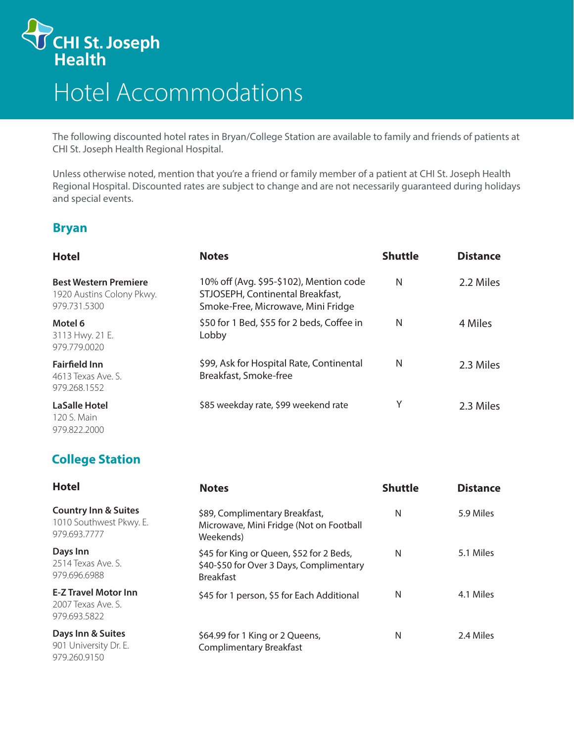

## Hotel Accommodations

The following discounted hotel rates in Bryan/College Station are available to family and friends of patients at CHI St. Joseph Health Regional Hospital.

Unless otherwise noted, mention that you're a friend or family member of a patient at CHI St. Joseph Health Regional Hospital. Discounted rates are subject to change and are not necessarily guaranteed during holidays and special events.

## **Bryan**

| <b>Hotel</b>                                                              | <b>Notes</b>                                                                                                      | <b>Shuttle</b> | <b>Distance</b> |
|---------------------------------------------------------------------------|-------------------------------------------------------------------------------------------------------------------|----------------|-----------------|
| <b>Best Western Premiere</b><br>1920 Austins Colony Pkwy.<br>979.731.5300 | 10% off (Avg. \$95-\$102), Mention code<br>STJOSEPH, Continental Breakfast,<br>Smoke-Free, Microwave, Mini Fridge | N              | 2.2 Miles       |
| Motel 6<br>3113 Hwy. 21 E.<br>979.779.0020                                | \$50 for 1 Bed, \$55 for 2 beds, Coffee in<br>Lobby                                                               | N              | 4 Miles         |
| <b>Fairfield Inn</b><br>4613 Texas Ave. S.<br>979.268.1552                | \$99, Ask for Hospital Rate, Continental<br>Breakfast, Smoke-free                                                 | N              | 2.3 Miles       |
| <b>LaSalle Hotel</b><br>120 S. Main<br>979.822.2000                       | \$85 weekday rate, \$99 weekend rate                                                                              | Υ              | 2.3 Miles       |

## **College Station**

| <b>Hotel</b>                                                               | <b>Notes</b>                                                                                             | <b>Shuttle</b> | <b>Distance</b> |
|----------------------------------------------------------------------------|----------------------------------------------------------------------------------------------------------|----------------|-----------------|
| <b>Country Inn &amp; Suites</b><br>1010 Southwest Pkwy. E.<br>979.693.7777 | \$89, Complimentary Breakfast,<br>Microwave, Mini Fridge (Not on Football<br>Weekends)                   | N              | 5.9 Miles       |
| Days Inn<br>2514 Texas Ave. S.<br>979.696.6988                             | \$45 for King or Queen, \$52 for 2 Beds,<br>\$40-\$50 for Over 3 Days, Complimentary<br><b>Breakfast</b> | N              | 5.1 Miles       |
| <b>E-Z Travel Motor Inn</b><br>2007 Texas Ave. S.<br>979.693.5822          | \$45 for 1 person, \$5 for Each Additional                                                               | N              | 4.1 Miles       |
| Days Inn & Suites<br>901 University Dr. E.<br>979.260.9150                 | \$64.99 for 1 King or 2 Queens,<br><b>Complimentary Breakfast</b>                                        | N              | 2.4 Miles       |